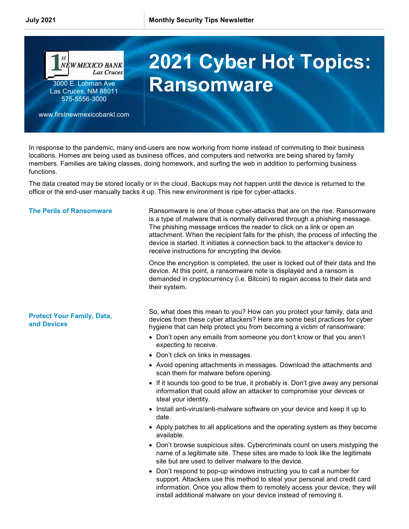

In response to the pandemic, many end-users are now working from home instead of commuting to their business locations. Homes are being used as business offices, and computers and networks are being shared by family members. Families are taking classes, doing homework, and surfing the web in addition to performing business functions.

The data created may be stored locally or in the cloud. Backups may not happen until the device is returned to the office or the end-user manually backs it up. This new environment is ripe for cyber-attacks.

## The Perils of Ransomware Ransomware is one of those cyber-attacks that are on the rise. Ransomware is a type of malware that is normally delivered through a phishing message. The phishing message entices the reader to click on a link or open an attachment. When the recipient falls for the phish, the process of infecting the device is started. It initiates a connection back to the attacker's device to receive instructions for encrypting the device. Once the encryption is completed, the user is locked out of their data and the device. At this point, a ransomware note is displayed and a ransom is demanded in cryptocurrency (i.e. Bitcoin) to regain access to their data and their system. Protect Your Family, Data, and Devices So, what does this mean to you? How can you protect your family, data and devices from these cyber attackers? Here are some best practices for cyber hygiene that can help protect you from becoming a victim of ransomware: Don't open any emails from someone you don't know or that you aren't expecting to receive. • Don't click on links in messages. Avoid opening attachments in messages. Download the attachments and scan them for malware before opening. • If it sounds too good to be true, it probably is. Don't give away any personal information that could allow an attacker to compromise your devices or steal your identity. • Install anti-virus/anti-malware software on your device and keep it up to date.

- Apply patches to all applications and the operating system as they become available.
- Don't browse suspicious sites. Cybercriminals count on users mistyping the name of a legitimate site. These sites are made to look like the legitimate site but are used to deliver malware to the device.
- Don't respond to pop-up windows instructing you to call a number for support. Attackers use this method to steal your personal and credit card information. Once you allow them to remotely access your device, they will install additional malware on your device instead of removing it.